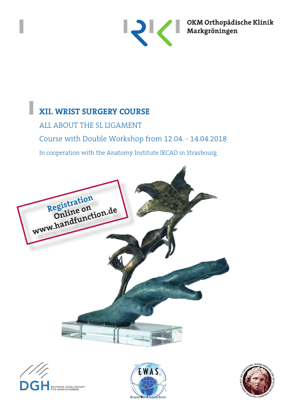

OKM Orthopädische Klinik<br>Markgröningen

# **XII. WRIST SURGERY COURSE**

ALL ABOUT THE SL LIGAMENT Course with Double Workshop from 12.04. - 14.04.2018 In cooperation with the Anatomy Institute IRCAD in Strasbourg







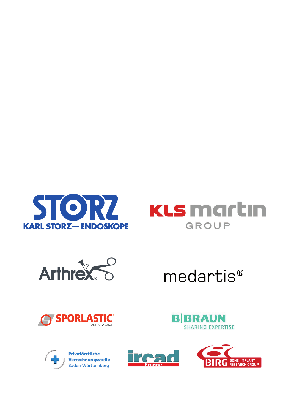







**B BRAUN** 

**SHARING EXPERTISE** 







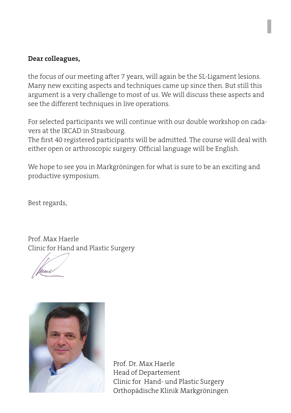### **Dear colleagues,**

the focus of our meeting after 7 years, will again be the SL-Ligament lesions. Many new exciting aspects and techniques came up since then. But still this argument is a very challenge to most of us. We will discuss these aspects and see the different techniques in live operations.

For selected participants we will continue with our double workshop on cadavers at the IRCAD in Strasbourg.

The first 40 registered participants will be admitted. The course will deal with either open or arthroscopic surgery. Official language will be English.

We hope to see you in Markgröningen for what is sure to be an exciting and productive symposium.

Best regards,

Prof. Max Haerle Clinic for Hand and Plastic Surgery

Unur



Prof. Dr. Max Haerle Head of Departement Clinic for Hand- und Plastic Surgery Orthopädische Klinik Markgröningen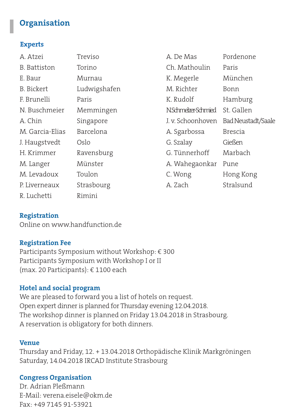## **Organisation**

#### **Experts**

| A. Atzei          | Treviso      | A. De Mas           | Pordenone          |
|-------------------|--------------|---------------------|--------------------|
| B. Battiston      | Torino       | Ch. Mathoulin       | Paris              |
| E. Baur           | Murnau       | K. Megerle          | München            |
| <b>B.</b> Bickert | Ludwigshafen | M. Richter          | Bonn               |
| F. Brunelli       | Paris        | K. Rudolf           | Hamburg            |
| N. Buschmeier     | Memmingen    | N.Schmelzer-Schmied | St. Gallen         |
| A. Chin           | Singapore    | J. v. Schoonhoven   | Bad Neustadt/Saale |
| M. Garcia-Elias   | Barcelona    | A. Sgarbossa        | <b>Brescia</b>     |
| J. Haugstvedt     | Oslo         | G. Szalay           | Gießen             |
| H. Krimmer        | Ravensburg   | G. Tünnerhoff       | Marbach            |
| M. Langer         | Münster      | A. Wahegaonkar      | Pune               |
| M. Levadoux       | Toulon       | C. Wong             | Hong Kong          |
| P. Liverneaux     | Strasbourg   | A. Zach             | Stralsund          |
| R. Luchetti       | Rimini       |                     |                    |

### **Registration**

Online on www.handfunction.de

### **Registration Fee**

Participants Symposium without Workshop: € 300 Participants Symposium with Workshop I or II (max. 20 Participants): € 1100 each

### **Hotel and social program**

We are pleased to forward you a list of hotels on request. Open expert dinner is planned for Thursday evening 12.04.2018. The workshop dinner is planned on Friday 13.04.2018 in Strasbourg. A reservation is obligatory for both dinners.

### **Venue**

Thursday and Friday, 12. + 13.04.2018 Orthopädische Klinik Markgröningen Saturday, 14.04.2018 IRCAD Institute Strasbourg

### **Congress Organisation**

Dr. Adrian Pleßmann E-Mail: verena.eisele@okm.de Fax: +49 7145 91-53921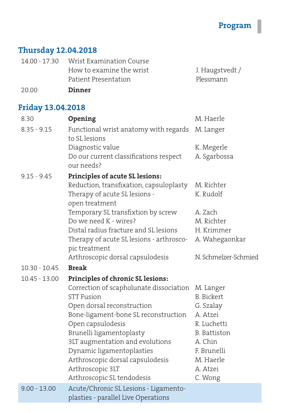**Program**

# **Thursday 12.04.2018**

| 20.00 | Dinner                                 |                 |
|-------|----------------------------------------|-----------------|
|       | Patient Presentation                   | Plessmann       |
|       | How to examine the wrist               | J. Haugstvedt / |
|       | 14.00 - 17.30 Wrist Examination Course |                 |

# **Friday 13.04.2018**

| 8.30            | Opening                                                                      | M. Haerle            |
|-----------------|------------------------------------------------------------------------------|----------------------|
| $8.35 - 9.15$   | Functional wrist anatomy with regards<br>to SL lesions                       | M. Langer            |
|                 | Diagnostic value                                                             | K. Megerle           |
|                 | Do our current classifications respect<br>our needs?                         | A. Sgarbossa         |
| $9.15 - 9.45$   | <b>Principles of acute SL lesions:</b>                                       |                      |
|                 | Reduction, transfixation, capsuloplasty                                      | M. Richter           |
|                 | Therapy of acute SL lesions -<br>open treatment                              | K. Rudolf            |
|                 | Temporary SL transfixtion by screw                                           | A. Zach              |
|                 | Do we need K - wires?                                                        | M. Richter           |
|                 | Distal radius fracture and SL lesions                                        | H. Krimmer           |
|                 | Therapy of acute SL lesions - arthrosco-<br>pic treatment                    | A. Wahegaonkar       |
|                 | Arthroscopic dorsal capsulodesis                                             | N. Schmelzer-Schmied |
| $10.30 - 10.45$ | <b>Break</b>                                                                 |                      |
| $10.45 - 13.00$ | Principles of chronic SL lesions:                                            |                      |
|                 | Correction of scapholunate dissociation                                      | M. Langer            |
|                 | <b>STT Fusion</b>                                                            | <b>B.</b> Bickert    |
|                 | Open dorsal reconstruction                                                   | G. Szalay            |
|                 | Bone-ligament-bone SL reconstruction                                         | A. Atzei             |
|                 | Open capsulodesis                                                            | R. Luchetti          |
|                 | Brunelli ligamentoplasty                                                     | <b>B.</b> Battiston  |
|                 | 3LT augmentation and evolutions                                              | A. Chin              |
|                 | Dynamic ligamentoplasties                                                    | F. Brunelli          |
|                 | Arthroscopic dorsal capsulodesis                                             | M. Haerle            |
|                 | Arthroscopic 3LT                                                             | A. Atzei             |
|                 | Arthroscopic SL tendodesis                                                   | C. Wong              |
| $9.00 - 13.00$  | Acute/Chronic SL Lesions - Ligamento-<br>plasties - parallel Live Operations |                      |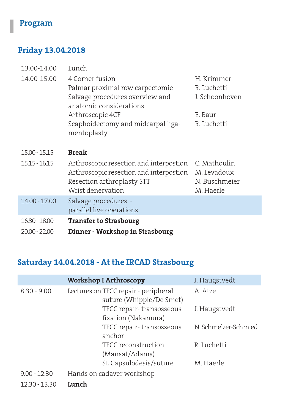### **Program**

# **Friday 13.04.2018**

| 13.00-14.00     | Lunch                                   |                |
|-----------------|-----------------------------------------|----------------|
| 14.00-15.00     | 4 Corner fusion                         | H. Krimmer     |
|                 | Palmar proximal row carpectomie         | R. Luchetti    |
|                 | Salvage procedures overview and         | J. Schoonhoven |
|                 | anatomic considerations                 |                |
|                 | Arthroscopic 4CF                        | E. Baur        |
|                 | Scaphoidectomy and midcarpal liga-      | R. Luchetti    |
|                 | mentoplasty                             |                |
|                 |                                         |                |
| 15.00 - 15.15   | <b>Break</b>                            |                |
| $15.15 - 16.15$ | Arthroscopic resection and interpostion | C. Mathoulin   |
|                 | Arthroscopic resection and interpostion | M. Levadoux    |
|                 | Resection arthroplasty STT              | N. Buschmeier  |
|                 | Wrist deneryation                       | M. Haerle      |
| 14.00 - 17.00   | Salvage procedures -                    |                |
|                 | parallel live operations                |                |
| 16.30 - 18.00   | <b>Transfer to Strasbourg</b>           |                |
| $20.00 - 22.00$ | Dinner - Workshop in Strasbourg         |                |

# **Saturday 14.04.2018 - At the IRCAD Strasbourg**

|                |       | <b>Workshop I Arthroscopy</b>                                    | J. Haugstvedt        |
|----------------|-------|------------------------------------------------------------------|----------------------|
| $8.30 - 9.00$  |       | Lectures on TFCC repair - peripheral<br>suture (Whipple/De Smet) | A. Atzei             |
|                |       | TFCC repair-transosseous                                         | J. Haugstvedt        |
|                |       | fixation (Nakamura)                                              |                      |
|                |       | TFCC repair-transosseous<br>anchor                               | N. Schmelzer-Schmied |
|                |       | TFCC reconstruction                                              | R. Luchetti          |
|                |       | (Mansat/Adams)                                                   |                      |
|                |       | SL Capsulodesis/suture                                           | M. Haerle            |
| $9.00 - 12.30$ |       | Hands on cadaver workshop                                        |                      |
| 12.30 - 13.30  | Lunch |                                                                  |                      |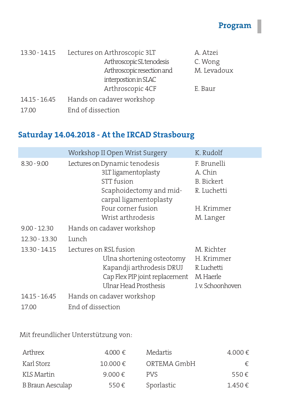

| 13.30 - 14.15 | Lectures on Arthroscopic 3LT | A. Atzei    |
|---------------|------------------------------|-------------|
|               | Arthroscopic SL tenodesis    | C. Wong     |
|               | Arthroscopic resection and   | M. Levadoux |
|               | interpostion in SLAC         |             |
|               | Arthroscopic 4CF             | E. Baur     |
| 14.15 - 16.45 | Hands on cadaver workshop    |             |
| 17.00         | End of dissection            |             |

### **Saturday 14.04.2018 - At the IRCAD Strasbourg**

|                |                           | Workshop II Open Wrist Surgery                                                                                                              | K. Rudolf                                                                 |
|----------------|---------------------------|---------------------------------------------------------------------------------------------------------------------------------------------|---------------------------------------------------------------------------|
| $8.30 - 9.00$  |                           | Lectures on Dynamic tenodesis<br>3LT ligamentoplasty<br>STT fusion<br>Scaphoidectomy and mid-<br>carpal ligamentoplasty                     | F. Brunelli<br>A. Chin<br>B. Bickert<br>R. Luchetti                       |
|                |                           | Four corner fusion                                                                                                                          | H. Krimmer                                                                |
|                |                           | Wrist arthrodesis                                                                                                                           | M. Langer                                                                 |
| $9.00 - 12.30$ | Hands on cadaver workshop |                                                                                                                                             |                                                                           |
| 12.30 - 13.30  | Lunch                     |                                                                                                                                             |                                                                           |
| 13.30 - 14.15  |                           | Lectures on RSL fusion<br>Ulna shortening osteotomy<br>Kapandji arthrodesis DRUJ<br>Cap Flex PIP joint replacement<br>Ulnar Head Prosthesis | M. Richter<br>H. Krimmer<br>R. Luchetti<br>M. Haerle<br>J. v. Schoonhoven |
| 14.15 - 16.45  | Hands on cadaver workshop |                                                                                                                                             |                                                                           |
| 17.00          | End of dissection         |                                                                                                                                             |                                                                           |

### Mit freundlicher Unterstützung von:

| Arthrex          | $4.000 \in$  | Medartis    | 4.000 €   |
|------------------|--------------|-------------|-----------|
| Karl Storz       | $10.000 \in$ | ORTEMA GmbH | €         |
| KLS Martin       | 9.000 €      | <b>PVS</b>  | 550 $\in$ |
| B Braun Aesculap | 550€         | Sporlastic  | 1.450 f   |